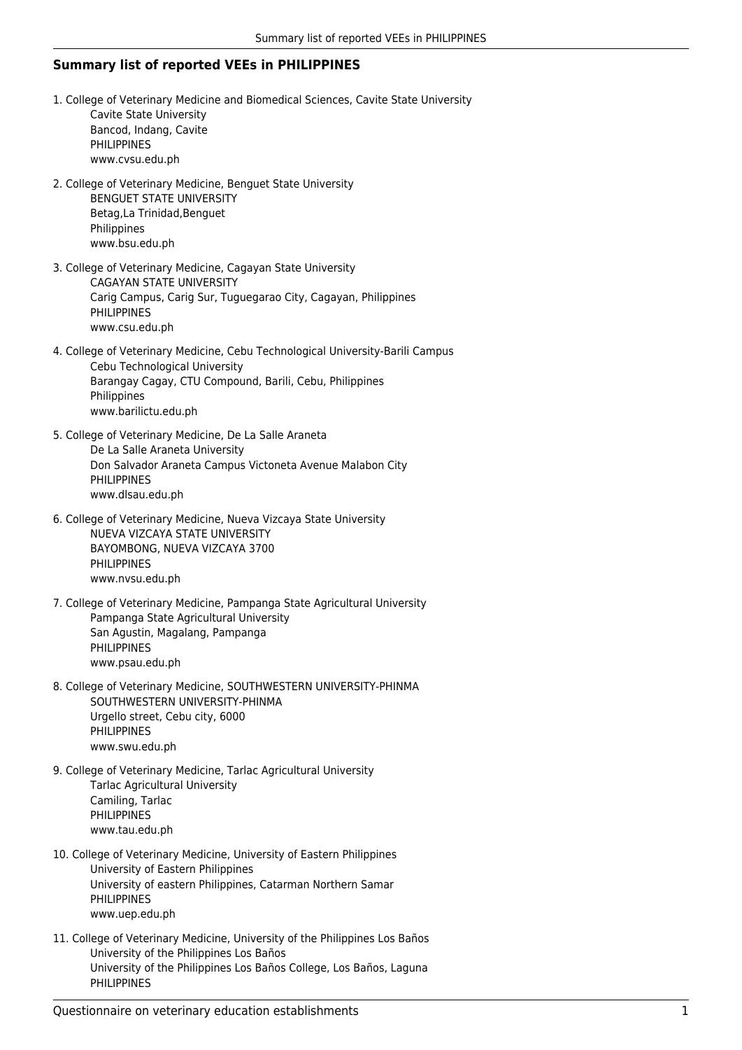## **Summary list of reported VEEs in PHILIPPINES**

- 1. College of Veterinary Medicine and Biomedical Sciences, Cavite State University Cavite State University Bancod, Indang, Cavite PHILIPPINES www.cvsu.edu.ph
- 2. College of Veterinary Medicine, Benguet State University BENGUET STATE UNIVERSITY Betag,La Trinidad,Benguet Philippines www.bsu.edu.ph
- 3. College of Veterinary Medicine, Cagayan State University CAGAYAN STATE UNIVERSITY Carig Campus, Carig Sur, Tuguegarao City, Cagayan, Philippines PHILIPPINES www.csu.edu.ph
- 4. College of Veterinary Medicine, Cebu Technological University-Barili Campus Cebu Technological University Barangay Cagay, CTU Compound, Barili, Cebu, Philippines Philippines www.barilictu.edu.ph
- 5. College of Veterinary Medicine, De La Salle Araneta De La Salle Araneta University Don Salvador Araneta Campus Victoneta Avenue Malabon City PHILIPPINES www.dlsau.edu.ph
- 6. College of Veterinary Medicine, Nueva Vizcaya State University NUEVA VIZCAYA STATE UNIVERSITY BAYOMBONG, NUEVA VIZCAYA 3700 PHILIPPINES www.nvsu.edu.ph
- 7. College of Veterinary Medicine, Pampanga State Agricultural University Pampanga State Agricultural University San Agustin, Magalang, Pampanga PHILIPPINES www.psau.edu.ph
- 8. College of Veterinary Medicine, SOUTHWESTERN UNIVERSITY-PHINMA SOUTHWESTERN UNIVERSITY-PHINMA Urgello street, Cebu city, 6000 PHILIPPINES www.swu.edu.ph
- 9. College of Veterinary Medicine, Tarlac Agricultural University Tarlac Agricultural University Camiling, Tarlac **PHILIPPINES** www.tau.edu.ph
- 10. College of Veterinary Medicine, University of Eastern Philippines University of Eastern Philippines University of eastern Philippines, Catarman Northern Samar PHILIPPINES www.uep.edu.ph
- 11. College of Veterinary Medicine, University of the Philippines Los Baños University of the Philippines Los Baños University of the Philippines Los Baños College, Los Baños, Laguna PHILIPPINES